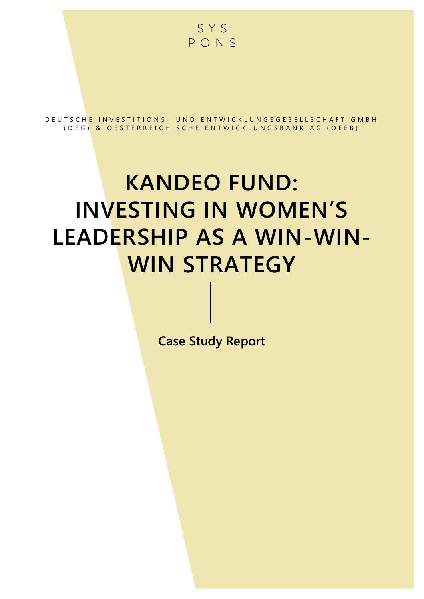

D E U T S C H E I N V E S T I T I O N S - U N D E N T W I C K L U N G S G E S E L L S C H A F T G M B H ( D E G ) & O E STERREICHISCHE ENTWICKLUNGSBANK AG ( O E E B )

# **KANDEO FUND: INVESTING IN WOMEN'S LEADERSHIP AS A WIN-WIN-WIN STRATEGY**

**Case Study Report**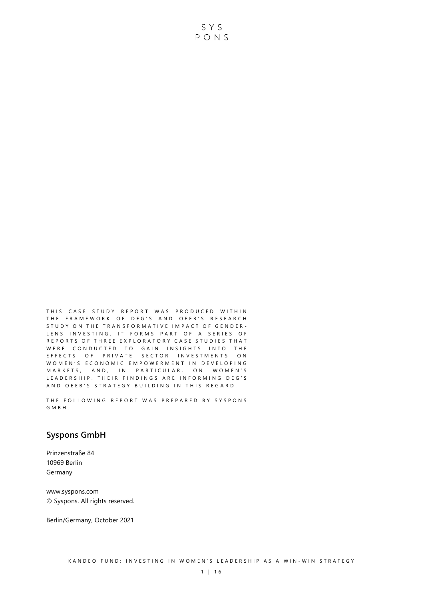THIS CASE STUDY REPORT WAS PRODUCED WITHIN THE FRAMEWORK OF DEG'S AND OEEB'S RESEARCH STUDY ON THE TRANSFORMATIVE IMPACT OF GENDER-LENS INVESTING. IT FORMS PART OF A SERIES OF REPORTS OF THREE EXPLORATORY CASE STUDIES THAT WERE CONDUCTED TO GAIN INSIGHTS INTO THE E F F E C T S O F PRIVATE SECTOR INVESTMENTS ON WOMEN'S ECONOMIC EMPOWERMENT IN DEVELOPING M A R K E T S, AND, IN PARTICULAR, ON WOMEN'S LEADERSHIP. THEIR FINDINGS ARE INFORMING DEG'S AND OEEB'S STRATEGY BUILDING IN THIS REGARD.

THE FOLLOWING REPORT WAS PREPARED BY SYSPONS G M B H .

### **Syspons GmbH**

Prinzenstraße 84 10969 Berlin Germany

www.syspons.com © Syspons. All rights reserved.

Berlin/Germany, October 2021

SYS PONS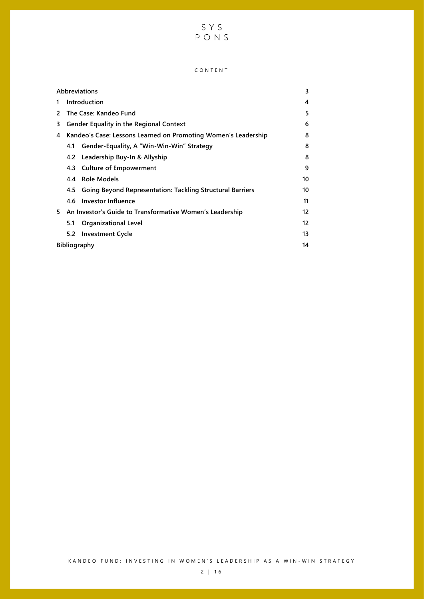# S Y S<br>P O N S

#### C O N T E N T

| <b>Abbreviations</b> |                                                                |                                                                  |    |  |  |  |
|----------------------|----------------------------------------------------------------|------------------------------------------------------------------|----|--|--|--|
| 1.                   | Introduction                                                   |                                                                  |    |  |  |  |
| 2                    | The Case: Kandeo Fund                                          |                                                                  |    |  |  |  |
| 3                    | <b>Gender Equality in the Regional Context</b>                 |                                                                  |    |  |  |  |
| 4                    | Kandeo's Case: Lessons Learned on Promoting Women's Leadership |                                                                  |    |  |  |  |
|                      | 4.1                                                            | Gender-Equality, A "Win-Win-Win" Strategy                        | 8  |  |  |  |
|                      |                                                                | 4.2 Leadership Buy-In & Allyship                                 | 8  |  |  |  |
|                      | 4.3                                                            | <b>Culture of Empowerment</b>                                    | 9  |  |  |  |
|                      | 4.4                                                            | Role Models                                                      | 10 |  |  |  |
|                      | 4.5                                                            | <b>Going Beyond Representation: Tackling Structural Barriers</b> | 10 |  |  |  |
|                      | 4.6                                                            | Investor Influence                                               | 11 |  |  |  |
| 5.                   |                                                                | An Investor's Guide to Transformative Women's Leadership         | 12 |  |  |  |
|                      | 5.1                                                            | <b>Organizational Level</b>                                      | 12 |  |  |  |
|                      | 5.2                                                            | <b>Investment Cycle</b>                                          | 13 |  |  |  |
| <b>Bibliography</b>  |                                                                |                                                                  |    |  |  |  |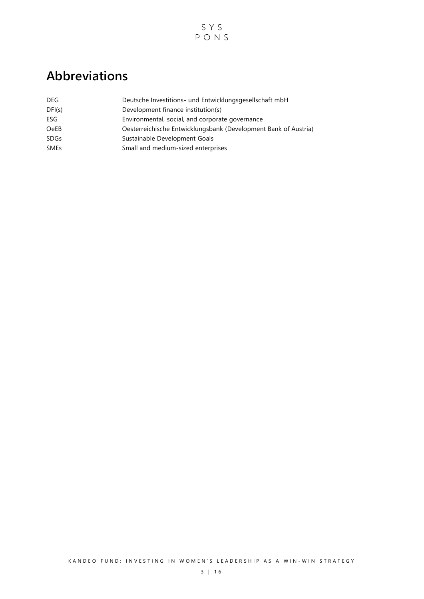

# <span id="page-3-0"></span>**Abbreviations**

| DEG.        | Deutsche Investitions- und Entwicklungsgesellschaft mbH         |
|-------------|-----------------------------------------------------------------|
| DFI(s)      | Development finance institution(s)                              |
| ESG.        | Environmental, social, and corporate governance                 |
| <b>OeEB</b> | Oesterreichische Entwicklungsbank (Development Bank of Austria) |
| <b>SDGs</b> | Sustainable Development Goals                                   |
| <b>SMEs</b> | Small and medium-sized enterprises                              |
|             |                                                                 |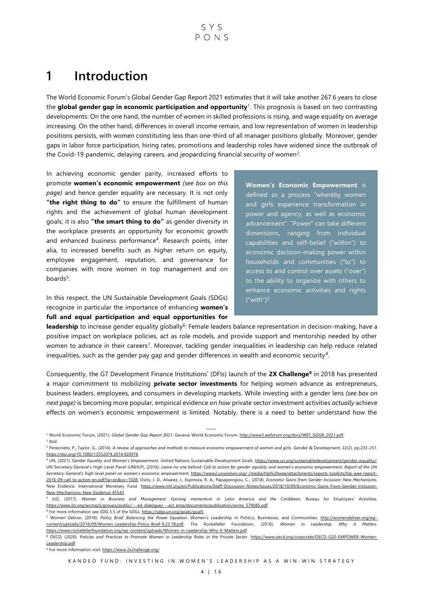# <span id="page-4-0"></span>**1 Introduction**

The World Economic Forum's Global Gender Gap Report 2021 estimates that it will take another 267.6 years to close the **global gender gap in economic participation and opportunity**<sup>1</sup> . This prognosis is based on two contrasting developments: On the one hand, the number of women in skilled professions is rising, and wage equality on average increasing. On the other hand, differences in overall income remain, and low representation of women in leadership positions persists, with women constituting less than one-third of all manager positions globally. Moreover, gender gaps in labor force participation, hiring rates, promotions and leadership roles have widened since the outbreak of the Covid-19 pandemic, delaying careers, and jeopardizing financial security of women<sup>2</sup>.

In achieving economic gender parity, increased efforts to promote **women's economic empowerment** *(see box on this page)* and hence gender equality are necessary. It is not only **"the right thing to do"** to ensure the fulfillment of human rights and the achievement of global human development goals; it is also **"the smart thing to do"** as gender diversity in the workplace presents an opportunity for economic growth and enhanced business performance<sup>4</sup>. Research points, inter alia, to increased benefits such as higher return on equity, employee engagement, reputation, and governance for companies with more women in top management and on boards<sup>5</sup>.

In this respect, the UN Sustainable Development Goals (SDGs) recognize in particular the importance of enhancing **women's full and equal participation and equal opportunities for**  **Women's Economic Empowerment** is defined as a process "whereby women and girls experience transformation in power and agency, as well as economic advancement". "Power" can take different dimensions, ranging from individual capabilities and self-belief ("within") to economic decision-making power within households and communities ("to") to access to and control over assets ("over") to the ability to organize with others to enhance economic activities and rights  $("with")^3$ .

leadership to increase gender equality globally<sup>6</sup>: Female leaders balance representation in decision-making, have a positive impact on workplace policies, act as role models, and provide support and mentorship needed by other women to advance in their careers<sup>7</sup>. Moreover, tackling gender inequalities in leadership can help reduce related inequalities, such as the gender pay gap and gender differences in wealth and economic security<sup>8</sup>.

Consequently, the G7 Development Finance Institutions' (DFIs) launch of the **2X Challenge<sup>9</sup>** in 2018 has presented a major commitment to mobilizing **private sector investments** for helping women advance as entrepreneurs, business leaders, employees, and consumers in developing markets. While investing with a gender lens *(see box on next page)* is becoming more popular, empirical evidence on *how* private sector investment activities *actually* achieve effects on women's economic empowerment is limited. Notably, there is a need to better understand how the

 $6$  For more information see SDG 5.5 of the SDGs[: https://sdgs.un.org/goals/goal5](https://sdgs.un.org/goals/goal5)

<sup>1</sup> ⸻ World Economic Forum, (2021). *Global Gender Gap Report 2021*. Geneva: World Economic Forum[. http://www3.weforum.org/docs/WEF\\_GGGR\\_2021.pdf;](http://www3.weforum.org/docs/WEF_GGGR_2021.pdf)   $2$  Ibid.

<sup>&</sup>lt;sup>3</sup> Pereznieto, P., Taylor, G., (2014). A review of approaches and methods to measure economic empowerment of women and girls. Gender & Development, 22(2), pp.233-251. <https://doi.org/10.1080/13552074.2014.920976>

<sup>4</sup> UN, (2021). *Gender Equality and Women's Empowerment.* United Nations Sustainable Development Goals[. https://www.un.org/sustainabledevelopment/gender-equality/;](https://www.un.org/sustainabledevelopment/gender-equality/)  UN Secretary-General's High-Level Panel (UNHLP), (2016*). Leave no one behind: Call to action for gender equality and women's economic empowerment. Report of the UN Secretary-General's high-level panel on women's economic empowerment*[. https://www2.unwomen.org/-/media/hlp%20wee/attachments/reports-toolkits/hlp-wee-report-](https://www2.unwomen.org/-/media/hlp%20wee/attachments/reports-toolkits/hlp-wee-report-2016-09-call-to-action-en.pdf?la=en&vs=1028)[2016-09-call-to-action-en.pdf?la=en&vs=1028;](https://www2.unwomen.org/-/media/hlp%20wee/attachments/reports-toolkits/hlp-wee-report-2016-09-call-to-action-en.pdf?la=en&vs=1028) Ostry, J. D., Alvarez, J., Espinoza, R. A., Papageorgiou, C., (2018). *Economic Gains from Gender Inclusion: New Mechanisms, New Evidence.* International Monetary Fund. [https://www.imf.org/en/Publications/Staff-Discussion-Notes/Issues/2018/10/09/Economic-Gains-From-Gender-Inclusion-](https://www.imf.org/en/Publications/Staff-Discussion-Notes/‌Issues/2018/10/09/Economic-Gains-From-Gender-Inclusion-New-Mechanisms-New-Evidence-45543)[New-Mechanisms-New-Evidence-45543](https://www.imf.org/en/Publications/Staff-Discussion-Notes/‌Issues/2018/10/09/Economic-Gains-From-Gender-Inclusion-New-Mechanisms-New-Evidence-45543) 

<sup>5</sup> ILO, (2017). *Women in Business and Management: Gaining momentum in Latin America and the Caribbean*. Bureau for Employers' Activities. https://www.ilo.org/wcmsp5/groups/public/---ed\_dialogue/---act\_emp/documents/publication/wcms\_579085.pdf

<sup>7</sup> Women Deliver, (2018). *Policy Brief: Balancing the Power Equation.* Women's Leadership in Politics, Businesses, and Communities. [http://womendeliver.org/wp](http://womendeliver.org/wp-content/uploads/2018/09/Women-Leadership-Policy-Brief-9.23.18.pdf)[content/uploads/2018/09/Women-Leadership-Policy-Brief-9.23.18.pdf;](http://womendeliver.org/wp-content/uploads/2018/09/Women-Leadership-Policy-Brief-9.23.18.pdf) The Rockefeller Foundation. (2016). *Women in Leadership: Why it Matters*. <https://www.rockefellerfoundation.org/wp-content/uploads/Women-in-Leadership-Why-It-Matters.pdf>

<sup>&</sup>lt;sup>8</sup> OECD, (2020). Policies and Practices to Promote Women in Leadership Roles in the Private Sector. [https://www.oecd.org/corporate/OECD-G20-EMPOWER-Women-](https://www.oecd.org/corporate/OECD-G20-EMPOWER-Women-Leadership.pdf)[Leadership.pdf](https://www.oecd.org/corporate/OECD-G20-EMPOWER-Women-Leadership.pdf)

<sup>&</sup>lt;sup>9</sup> For more information visit[: https://www.2xchallenge.org/](https://www.2xchallenge.org/)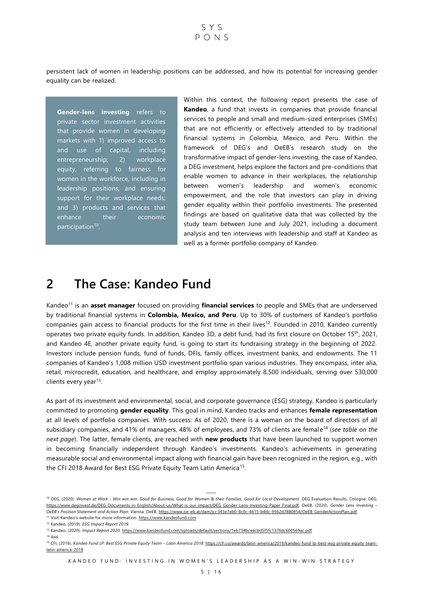persistent lack of women in leadership positions can be addressed, and how its potential for increasing gender equality can be realized.

**Gender-lens investing** refers to private sector investment activities that provide women in developing markets with 1) improved access to and use of capital, including entrepreneurship; 2) workplace equity, referring to fairness for women in the workforce, including in leadership positions, and ensuring support for their workplace needs; and 3) products and services that enhance their economic participation<sup>10</sup>.

Within this context, the following report presents the case of **Kandeo**, a fund that invests in companies that provide financial services to people and small and medium-sized enterprises (SMEs) that are not efficiently or effectively attended to by traditional financial systems in Colombia, Mexico, and Peru. Within the framework of DEG's and OeEB's research study on the transformative impact of gender-lens investing, the case of Kandeo, a DEG investment, helps explore the factors and pre-conditions that enable women to advance in their workplaces, the relationship between women's leadership and women's economic empowerment, and the role that investors can play in driving gender equality within their portfolio investments. The presented findings are based on qualitative data that was collected by the study team between June and July 2021, including a document analysis and ten interviews with leadership and staff at Kandeo as well as a former portfolio company of Kandeo.

# <span id="page-5-0"></span>**2 The Case: Kandeo Fund**

Kandeo<sup>11</sup> is an **asset manager** focused on providing **financial services** to people and SMEs that are underserved by traditional financial systems in **Colombia, Mexico, and Peru**. Up to 30% of customers of Kandeo's portfolio companies gain access to financial products for the first time in their lives<sup>12</sup>. Founded in 2010, Kandeo currently operates two private equity funds. In addition, Kandeo 3D, a debt fund, had its first closure on October 15th, 2021, and Kandeo 4E, another private equity fund, is going to start its fundraising strategy in the beginning of 2022. Investors include pension funds, fund of funds, DFIs, family offices, investment banks, and endowments. The 11 companies of Kandeo's 1,008 million USD investment portfolio span various industries. They encompass, inter alia, retail, microcredit, education, and healthcare, and employ approximately 8,500 individuals, serving over 530,000 clients every year<sup>13</sup>.

As part of its investment and environmental, social, and corporate governance (ESG) strategy, Kandeo is particularly committed to promoting **gender equality**. This goal in mind, Kandeo tracks and enhances **female representation** at all levels of portfolio companies. With success: As of 2020, there is a woman on the board of directors of all subsidiary companies, and 41% of managers, 48% of employees, and 73% of clients are female<sup>14</sup> (*see table on the next page*). The latter, female clients, are reached with **new products** that have been launched to support women in becoming financially independent through Kandeo's investments. Kandeo's achievements in generating measurable social and environmental impact along with financial gain have been recognized in the region, e.g., with the CFI 2018 Award for Best ESG Private Equity Team Latin America<sup>15</sup>.

 $14$  Ibid.

<sup>&</sup>lt;sup>10</sup> DEG, (2020). Women at Work - Win win win: Good for Business, Good for Women & their Families, Good for Local Development. DEG Evaluation Results. Cologne: DEG. https://www.deginvest.de/DEG-Documents-in-English/About-us/What-is-our-impact/DEG\_Gender-Lens-Investing-Paper\_Final.pdf; OeEB, (2020). *Gender Lens Investing – OeEB's Position Statement and Action Plan.* Vienna: OeEB. https://www.oe-eb.at/dam/jcr:343e7eb0-8c0c-4615-b4dc-9562d7880854/OeEB\_GenderActionPlan.pdf <sup>11</sup> Visit Kandeo's website for more information: [https://www.kandeofund.com](https://www.kandeofund.com/)

<sup>12</sup> Kandeo, (2019). *ESG Impact Report 2019.*

<sup>13</sup> Kandeo, (2020). *Impact Report 2020*[. https://www.kandeofund.com/uploads/default/sections/1eb754bceecbd5f5fc1376dc600569ac.pdf](https://www.kandeofund.com/uploads/default/sections/1eb754bceecbd5f5fc1376dc600569ac.pdf)

<sup>15</sup> CFI, (2018). *Kandeo Fund LP: Best ESG Private Equity Team – Latin America 2018*[. https://cfi.co/awards/latin-america/2019/kandeo-fund-lp-best-esg-private-equity-team](https://cfi.co/awards/latin-america/2019/kandeo-fund-lp-best-esg-private-equity-team-latin-america-2018)[latin-america-2018](https://cfi.co/awards/latin-america/2019/kandeo-fund-lp-best-esg-private-equity-team-latin-america-2018)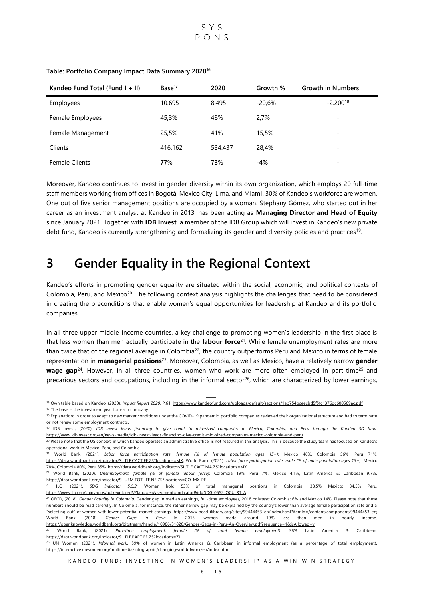

| Kandeo Fund Total (Fund $I + II$ ) | Base <sup>17</sup> | 2020    | Growth % | <b>Growth in Numbers</b> |
|------------------------------------|--------------------|---------|----------|--------------------------|
| Employees                          | 10.695             | 8.495   | $-20.6%$ | $-2.200^{18}$            |
| Female Employees                   | 45,3%              | 48%     | 2.7%     |                          |
| Female Management                  | 25.5%              | 41%     | 15.5%    | $\overline{\phantom{a}}$ |
| Clients                            | 416.162            | 534.437 | 28.4%    | $\overline{\phantom{a}}$ |
| <b>Female Clients</b>              | 77%                | 73%     | $-4%$    |                          |

#### **Table: Portfolio Company Impact Data Summary 2020<sup>16</sup>**

Moreover, Kandeo continues to invest in gender diversity within its own organization, which employs 20 full-time staff members working from offices in Bogotá, Mexico City, Lima, and Miami. 30% of Kandeo's workforce are women. One out of five senior management positions are occupied by a woman. Stephany Gómez, who started out in her career as an investment analyst at Kandeo in 2013, has been acting as **Managing Director and Head of Equity** since January 2021. Together with **IDB Invest**, a member of the IDB Group which will invest in Kandeo's new private debt fund, Kandeo is currently strengthening and formalizing its gender and diversity policies and practices<sup>19</sup>.

# <span id="page-6-0"></span>**3 Gender Equality in the Regional Context**

Kandeo's efforts in promoting gender equality are situated within the social, economic, and political contexts of Colombia, Peru, and Mexico<sup>20</sup>. The following context analysis highlights the challenges that need to be considered in creating the preconditions that enable women's equal opportunities for leadership at Kandeo and its portfolio companies.

In all three upper middle-income countries, a key challenge to promoting women's leadership in the first place is that less women than men actually participate in the **labour force**<sup>21</sup>. While female unemployment rates are more than twice that of the regional average in Colombia<sup>22</sup>, the country outperforms Peru and Mexico in terms of female representation in **managerial positions**<sup>23</sup>. Moreover, Colombia, as well as Mexico, have a relatively narrow **gender**  wage gap<sup>24</sup>. However, in all three countries, women who work are more often employed in part-time<sup>25</sup> and precarious sectors and occupations, including in the informal sector<sup>26</sup>, which are characterized by lower earnings,

<sup>18</sup> Explanation: In order to adapt to new market conditions under the COVID-19 pandemic, portfolio companies reviewed their organizational structure and had to terminate or not renew some employment contracts.

<sup>&</sup>lt;sup>16</sup> Own table based on Kandeo, (2020). *Impact Report 2020*. P.61[. https://www.kandeofund.com/uploads/default/sections/1eb754bceecbd5f5fc1376dc600569ac.pdf](https://www.kandeofund.com/uploads/default/sections/1eb754bceecbd5f5fc1376dc600569ac.pdf) <sup>17</sup> The base is the investment year for each company.

<sup>19</sup> IDB Invest, (2020). *IDB Invest leads financing to give credit to mid-sized companies in Mexico, Colombia, and Peru through the Kandeo 3D fund*. <https://www.idbinvest.org/en/news-media/idb-invest-leads-financing-give-credit-mid-sized-companies-mexico-colombia-and-peru>

<sup>&</sup>lt;sup>20</sup> Please note that the US context, in which Kandeo operates an administrative office, is not featured in this analysis. This is because the study team has focused on Kandeo's operational work in Mexico, Peru, and Colombia.

<sup>21</sup> World Bank, (2021). *Labor force participation rate, female (% of female population ages 15+):* Mexico 46%, Colombia 56%, Peru 71%. [https://data.worldbank.org/indicator/SL.TLF.CACT.FE.ZS?locations=MX;](https://data.worldbank.org/indicator/SL.TLF.CACT.FE.ZS?locations=MX) World Bank. (2021). *Labor force participation rate, male (% of male population ages 15+):* Mexico 78%, Colombia 80%, Peru 85%[. https://data.worldbank.org/indicator/SL.TLF.CACT.MA.ZS?locations=MX](https://data.worldbank.org/indicator/SL.TLF.CACT.MA.ZS?locations=MX)

<sup>22</sup> World Bank, (2020). *Unemployment, female (% of female labour force):* Colombia 19%, Peru 7%, Mexico 4.1%, Latin America & Caribbean 9.7%. <https://data.worldbank.org/indicator/SL.UEM.TOTL.FE.NE.ZS?locations=CO-MX-PE>

<sup>23</sup> ILO, (2021). *SDG indicator 5.5.2:* Women hold 53% of total managerial positions in Colombia; 38,5% Mexico; 34,5% Peru. [https://www.ilo.org/shinyapps/bulkexplorer2/?lang=en&segment=indicator&id=SDG\\_0552\\_OCU\\_RT\\_A](https://www.ilo.org/shinyapps/bulkexplorer2/?lang=en&segment=indicator&id=SDG_0552_OCU_RT_A)

<sup>24</sup> OECD, (2018). *Gender Equality in Colombia*. Gender gap in median earnings, full-time employees, 2018 or latest: Colombia: 6% and Mexico 14%. Please note that these numbers should be read carefully. In Colombia, for instance, the rather narrow gap may be explained by the country's lower than average female participation rate and a "selecting out" of women with lower potential market earnings. [https://www.oecd-ilibrary.org/sites/99444453-en/index.html?itemId=/content/component/99444453-en;](https://www.oecd-ilibrary.org/sites/99444453-en/index.html?itemId=/content/component/99444453-en)  World Bank, (2018). *Gender Gaps in Peru*: In 2015, women made around 19% less than men in hourly income. <https://openknowledge.worldbank.org/bitstream/handle/10986/31820/Gender-Gaps-in-Peru-An-Overview.pdf?sequence=1&isAllowed=y>

<sup>25</sup> World Bank, (2021). *Part-time employment, female (% of total female employment):* 38% Latin America & Caribbean. <https://data.worldbank.org/indicator/SL.TLF.PART.FE.ZS?locations=ZJ>

<sup>26</sup> UN Women, (2021). *Informal work*. 59% of women in Latin America & Caribbean in informal employment (as a percentage of total employment). <https://interactive.unwomen.org/multimedia/infographic/changingworldofwork/en/index.htm>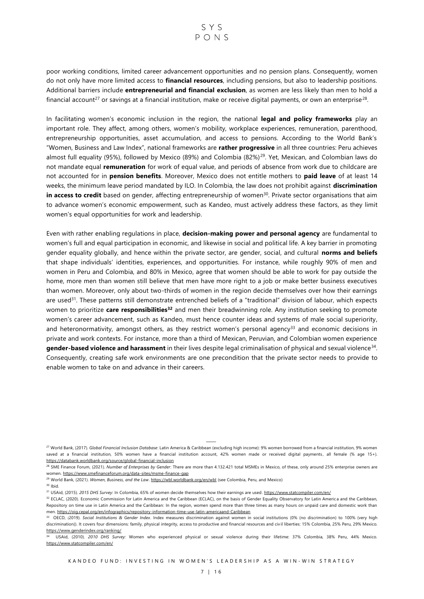# SYS  $P_{O}$ NS

poor working conditions, limited career advancement opportunities and no pension plans. Consequently, women do not only have more limited access to **financial resources**, including pensions, but also to leadership positions. Additional barriers include **entrepreneurial and financial exclusion**, as women are less likely than men to hold a financial account<sup>27</sup> or savings at a financial institution, make or receive digital payments, or own an enterprise<sup>28</sup>.

In facilitating women's economic inclusion in the region, the national **legal and policy frameworks** play an important role. They affect, among others, women's mobility, workplace experiences, remuneration, parenthood, entrepreneurship opportunities, asset accumulation, and access to pensions. According to the World Bank's "Women, Business and Law Index", national frameworks are **rather progressive** in all three countries: Peru achieves almost full equality (95%), followed by Mexico (89%) and Colombia (82%)<sup>29</sup>. Yet, Mexican, and Colombian laws do not mandate equal **remuneration** for work of equal value, and periods of absence from work due to childcare are not accounted for in **pension benefits**. Moreover, Mexico does not entitle mothers to **paid leave** of at least 14 weeks, the minimum leave period mandated by ILO. In Colombia, the law does not prohibit against **discrimination in access to credit** based on gender, affecting entrepreneurship of women<sup>30</sup>. Private sector organisations that aim to advance women's economic empowerment, such as Kandeo, must actively address these factors, as they limit women's equal opportunities for work and leadership.

Even with rather enabling regulations in place, **decision-making power and personal agency** are fundamental to women's full and equal participation in economic, and likewise in social and political life. A key barrier in promoting gender equality globally, and hence within the private sector, are gender, social, and cultural **norms and beliefs** that shape individuals' identities, experiences, and opportunities. For instance, while roughly 90% of men and women in Peru and Colombia, and 80% in Mexico, agree that women should be able to work for pay outside the home, more men than women still believe that men have more right to a job or make better business executives than women. Moreover, only about two-thirds of women in the region decide themselves over how their earnings are used<sup>31</sup>. These patterns still demonstrate entrenched beliefs of a "traditional" division of labour, which expects women to prioritize **care responsibilities<sup>32</sup>** and men their breadwinning role. Any institution seeking to promote women's career advancement, such as Kandeo, must hence counter ideas and systems of male social superiority, and heteronormativity, amongst others, as they restrict women's personal agency<sup>33</sup> and economic decisions in private and work contexts. For instance, more than a third of Mexican, Peruvian, and Colombian women experience gender-based violence and harassment in their lives despite legal criminalisation of physical and sexual violence<sup>34</sup>. Consequently, creating safe work environments are one precondition that the private sector needs to provide to enable women to take on and advance in their careers.

<sup>30</sup> Ibid.

<sup>31</sup> USAid, (2015). 2015 DHS Survey: In Colombia, 65% of women decide themselves how their earnings are used. <https://www.statcompiler.com/en/>

<sup>&</sup>lt;sup>27</sup> World Bank, (2017). Global Financial Inclusion Database: Latin America & Caribbean (excluding high income): 9% women borrowed from a financial institution, 9% women saved at a financial institution, 50% women have a financial institution account, 42% women made or received digital payments, all female (% age 15+). <https://databank.worldbank.org/source/global-financial-inclusion>

<sup>&</sup>lt;sup>28</sup> SME Finance Forum, (2021). Number of Enterprises by Gender: There are more than 4.132.421 total MSMEs in Mexico, of these, only around 25% enterprise owners are women[. https://www.smefinanceforum.org/data-sites/msme-finance-gap](https://www.smefinanceforum.org/data-sites/msme-finance-gap)

<sup>&</sup>lt;sup>29</sup> World Bank, (2021). *Women, Business, and the Law*[. https://wbl.worldbank.org/en/wbl](https://wbl.worldbank.org/en/wbl) (see Colombia, Peru, and Mexico)

<sup>32</sup> ECLAC, (2020). Economic Commission for Latin America and the Caribbean (ECLAC), on the basis of Gender Equality Observatory for Latin America and the Caribbean, Repository on time use in Latin America and the Caribbean: In the region, women spend more than three times as many hours on unpaid care and domestic work than men. <https://oig.cepal.org/en/infographics/repository-information-time-use-latin-americaand-Caribbean>

<sup>33</sup> OECD, (2019). *Social Institutions & Gender Index*. Index measures discrimination against women in social institutions (0% (no discrimination) to 100% (very high discrimination)). It covers four dimensions: family, physical integrity, access to productive and financial resources and civ il liberties: 15% Colombia, 25% Peru, 29% Mexico. <https://www.genderindex.org/ranking/>

<sup>34</sup> USAid, (2010). *2010 DHS Survey:* Women who experienced physical or sexual violence during their lifetime: 37% Colombia, 38% Peru, 44% Mexico. <https://www.statcompiler.com/en/>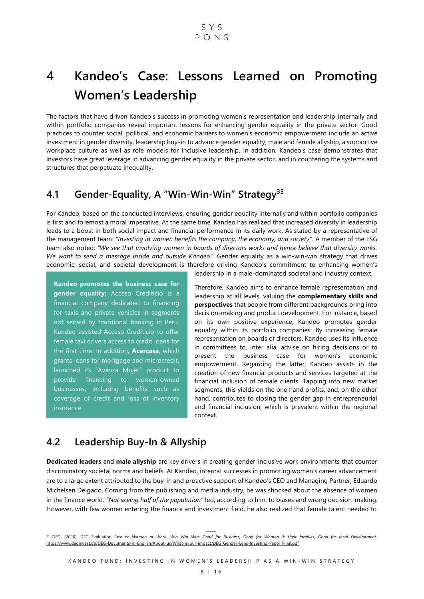# <span id="page-8-0"></span>**4 Kandeo's Case: Lessons Learned on Promoting Women's Leadership**

The factors that have driven Kandeo's success in promoting women's representation and leadership internally and within portfolio companies reveal important lessons for enhancing gender equality in the private sector. Good practices to counter social, political, and economic barriers to women's economic empowerment include an active investment in gender diversity, leadership buy-in to advance gender equality, male and female allyship, a supportive workplace culture as well as role models for inclusive leadership. In addition, Kandeo's case demonstrates that investors have great leverage in advancing gender equality in the private sector, and in countering the systems and structures that perpetuate inequality.

# <span id="page-8-1"></span>**4.1 Gender-Equality, A "Win-Win-Win" Strategy<sup>35</sup>**

For Kandeo, based on the conducted interviews, ensuring gender equality internally and within portfolio companies is first and foremost a moral imperative. At the same time, Kandeo has realized that increased diversity in leadership leads to a boost in both social impact and financial performance in its daily work. As stated by a representative of the management team: *"Investing in women benefits the company, the economy, and society".* A member of the ESG team also noted: *"We see that involving women in boards of directors works and hence believe that diversity works. We want to send a message inside and outside Kandeo".* Gender equality as a win-win-win strategy that drives economic, social, and societal development is therefore driving Kandeo's commitment to enhancing women's

**Kandeo promotes the business case for gender equality:** Acceso Crediticio is a financial company dedicated to financing for taxis and private vehicles in segments not served by traditional banking in Peru. Kandeo assisted Acceso Crediticio to offer female taxi drivers access to credit loans for the first time. In addition, **Acercasa**, which grants loans for mortgage and microcredit, launched its "Avanza Mujer" product to provide financing to women-owned businesses, including benefits such as coverage of credit and loss of inventory insurance.

leadership in a male-dominated societal and industry context.

Therefore, Kandeo aims to enhance female representation and leadership at all levels, valuing the **complementary skills and perspectives** that people from different backgrounds bring into decision-making and product development. For instance, based on its own positive experience, Kandeo promotes gender equality within its portfolio companies: By increasing female representation on boards of directors, Kandeo uses its influence in committees to, inter alia, advise on hiring decisions or to present the business case for women's economic empowerment. Regarding the latter, Kandeo assists in the creation of new financial products and services targeted at the financial inclusion of female clients. Tapping into new market segments, this yields on the one hand profits, and, on the other hand, contributes to closing the gender gap in entrepreneurial and financial inclusion, which is prevalent within the regional context.

# <span id="page-8-2"></span>**4.2 Leadership Buy-In & Allyship**

**Dedicated leaders** and **male allyship** are key drivers in creating gender-inclusive work environments that counter discriminatory societal norms and beliefs. At Kandeo, internal successes in promoting women's career advancement are to a large extent attributed to the buy-in and proactive support of Kandeo's CEO and Managing Partner, Eduardo Michelsen Delgado. Coming from the publishing and media industry, he was shocked about the absence of women in the finance world. *"Not seeing half of the population"* led, according to him, to biases and wrong decision-making. However, with few women entering the finance and investment field, he also realized that female talent needed to

<sup>35</sup> ⸻ DEG, (2020). DEG Evaluation Results: *Women at Work. Win Win Win: Good for Business, Good for Women & their families, Good for local Development*. [https://www.deginvest.de/DEG-Documents-in-English/About-us/What-is-our-impact/DEG\\_Gender-Lens-Investing-Paper\\_Final.pdf](https://www.deginvest.de/DEG-Documents-in-English/About-us/What-is-our-impact/DEG_Gender-Lens-Investing-Paper_Final.pdf)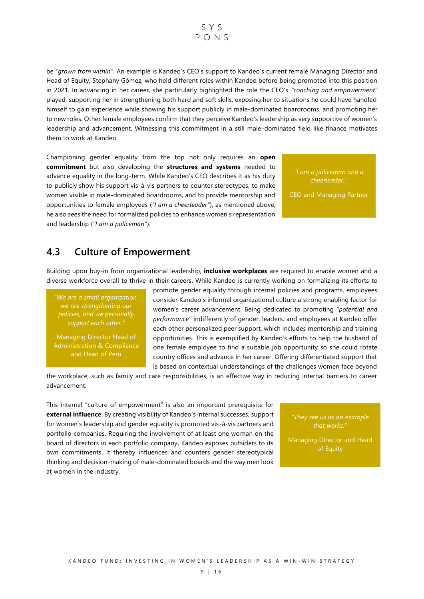# $SYS$  $P_{O}$ NS

be *"grown from within"*. An example is Kandeo's CEO's support to Kandeo's current female Managing Director and Head of Equity, Stephany Gómez, who held different roles within Kandeo before being promoted into this position in 2021. In advancing in her career, she particularly highlighted the role the CEO's *"coaching and empowerment"* played, supporting her in strengthening both hard and soft skills, exposing her to situations he could have handled himself to gain experience while showing his support publicly in male-dominated boardrooms, and promoting her to new roles. Other female employees confirm that they perceive Kandeo's leadership as very supportive of women's leadership and advancement. Witnessing this commitment in a still male-dominated field like finance motivates them to work at Kandeo.

Championing gender equality from the top not only requires an **open commitment** but also developing the **structures and systems** needed to advance equality in the long-term. While Kandeo's CEO describes it as his duty to publicly show his support vis-à-vis partners to counter stereotypes, to make women visible in male-dominated boardrooms, and to provide mentorship and opportunities to female employees (*"I am a cheerleader"*), as mentioned above, he also sees the need for formalized policies to enhance women's representation and leadership (*"I am a policeman"*).

*"I am a policeman and a cheerleader."* 

CEO and Managing Partner

# <span id="page-9-0"></span>**4.3 Culture of Empowerment**

Building upon buy-in from organizational leadership, **inclusive workplaces** are required to enable women and a diverse workforce overall to thrive in their careers. While Kandeo is currently working on formalizing its efforts to

*"We are a small organization, we are strengthening our policies, and we personally support each other."*

Managing Director Head of Administration & Compliance and Head of Peru

promote gender equality through internal policies and programs, employees consider Kandeo's informal organizational culture a strong enabling factor for women's career advancement. Being dedicated to promoting *"potential and performance"* indifferently of gender, leaders, and employees at Kandeo offer each other personalized peer support, which includes mentorship and training opportunities. This is exemplified by Kandeo's efforts to help the husband of one female employee to find a suitable job opportunity so she could rotate country offices and advance in her career. Offering differentiated support that is based on contextual understandings of the challenges women face beyond

the workplace, such as family and care responsibilities, is an effective way in reducing internal barriers to career advancement.

This internal "culture of empowerment" is also an important prerequisite for **external influence**. By creating visibility of Kandeo's internal successes, support for women's leadership and gender equality is promoted vis-à-vis partners and portfolio companies. Requiring the involvement of at least one woman on the board of directors in each portfolio company, Kandeo exposes outsiders to its own commitments. It thereby influences and counters gender stereotypical thinking and decision-making of male-dominated boards and the way men look at women in the industry.

*"They see us as an example that works."* 

Managing Director and Head of Equity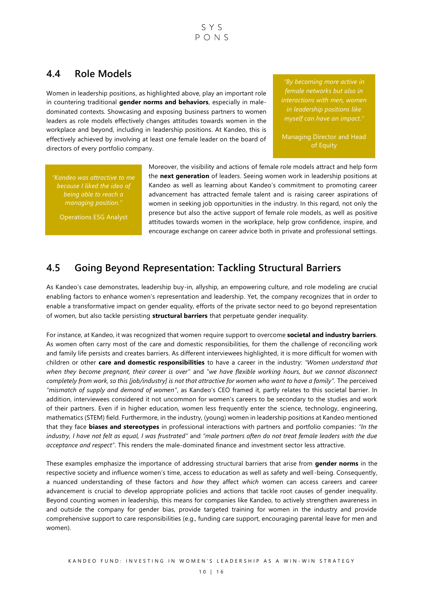# <span id="page-10-0"></span>**4.4 Role Models**

Women in leadership positions, as highlighted above, play an important role in countering traditional **gender norms and behaviors**, especially in maledominated contexts. Showcasing and exposing business partners to women leaders as role models effectively changes attitudes towards women in the workplace and beyond, including in leadership positions. At Kandeo, this is effectively achieved by involving at least one female leader on the board of directors of every portfolio company.

*"By becoming more active in female networks but also in interactions with men, women in leadership positions like myself can have an impact."*

Managing Director and Head of Equity

*"Kandeo was attractive to me because I liked the idea of being able to reach a managing position."* 

Operations ESG Analyst

Moreover, the visibility and actions of female role models attract and help form the **next generation** of leaders. Seeing women work in leadership positions at Kandeo as well as learning about Kandeo's commitment to promoting career advancement has attracted female talent and is raising career aspirations of women in seeking job opportunities in the industry. In this regard, not only the presence but also the active support of female role models, as well as positive attitudes towards women in the workplace, help grow confidence, inspire, and encourage exchange on career advice both in private and professional settings.

# <span id="page-10-1"></span>**4.5 Going Beyond Representation: Tackling Structural Barriers**

As Kandeo's case demonstrates, leadership buy-in, allyship, an empowering culture, and role modeling are crucial enabling factors to enhance women's representation and leadership. Yet, the company recognizes that in order to enable a transformative impact on gender equality, efforts of the private sector need to go beyond representation of women, but also tackle persisting **structural barriers** that perpetuate gender inequality.

For instance, at Kandeo, it was recognized that women require support to overcome **societal and industry barriers**. As women often carry most of the care and domestic responsibilities, for them the challenge of reconciling work and family life persists and creates barriers. As different interviewees highlighted, it is more difficult for women with children or other **care and domestic responsibilities** to have a career in the industry: *"Women understand that when they become pregnant, their career is over"* and *"we have flexible working hours, but we cannot disconnect completely from work, so this [job/industry] is not that attractive for women who want to have a family".* The perceived *"mismatch of supply and demand of women"*, as Kandeo's CEO framed it, partly relates to this societal barrier. In addition, interviewees considered it not uncommon for women's careers to be secondary to the studies and work of their partners. Even if in higher education, women less frequently enter the science, technology, engineering, mathematics (STEM) field. Furthermore, in the industry, (young) women in leadership positions at Kandeo mentioned that they face **biases and stereotypes** in professional interactions with partners and portfolio companies: *"In the industry, I have not felt as equal, I was frustrated"* and *"male partners often do not treat female leaders with the due acceptance and respect"*. This renders the male-dominated finance and investment sector less attractive.

These examples emphasize the importance of addressing structural barriers that arise from **gender norms** in the respective society and influence women's time, access to education as well as safety and well -being. Consequently, a nuanced understanding of these factors and *how* they affect *which* women can access careers and career advancement is crucial to develop appropriate policies and actions that tackle root causes of gender inequality. Beyond counting women in leadership, this means for companies like Kandeo, to actively strengthen awareness in and outside the company for gender bias, provide targeted training for women in the industry and provide comprehensive support to care responsibilities (e.g., funding care support, encouraging parental leave for men and women).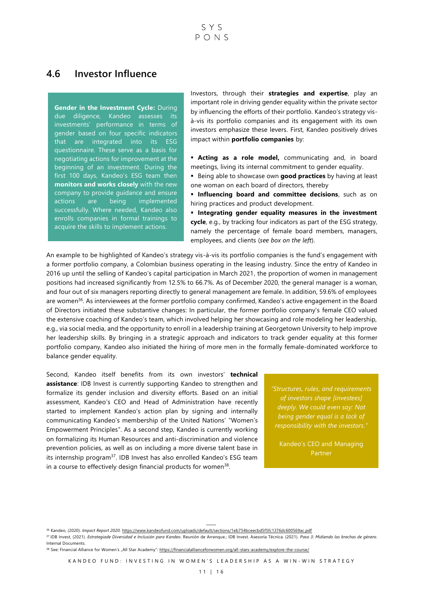## <span id="page-11-0"></span>**4.6 Investor Influence**

#### **Gender in the Investment Cycle:** During

due diligence, Kandeo assesses its investments' performance in terms of gender based on four specific indicators that are integrated into its ESG questionnaire. These serve as a basis for negotiating actions for improvement at the beginning of an investment. During the first 100 days, Kandeo's ESG team then **monitors and works closely** with the new company to provide guidance and ensure actions are being implemented successfully. Where needed, Kandeo also enrolls companies in formal trainings to acquire the skills to implement actions.

Investors, through their **strategies and expertise**, play an important role in driving gender equality within the private sector by influencing the efforts of their portfolio. Kandeo's strategy visà-vis its portfolio companies and its engagement with its own investors emphasize these levers. First, Kandeo positively drives impact within **portfolio companies** by:

 **Acting as a role model,** communicating and, in board meetings, living its internal commitment to gender equality.

 Being able to showcase own **good practices** by having at least one woman on each board of directors, thereby

**Influencing board and committee decisions**, such as on hiring practices and product development.

 **Integrating gender equality measures in the investment cycle**, e.g., by tracking four indicators as part of the ESG strategy, namely the percentage of female board members, managers, employees, and clients (*see box on the left*).

An example to be highlighted of Kandeo's strategy vis-à-vis its portfolio companies is the fund's engagement with a former portfolio company, a Colombian business operating in the leasing industry. Since the entry of Kandeo in 2016 up until the selling of Kandeo's capital participation in March 2021, the proportion of women in management positions had increased significantly from 12.5% to 66.7%. As of December 2020, the general manager is a woman, and four out of six managers reporting directly to general management are female. In addition, 59.6% of employees are women<sup>36</sup>. As interviewees at the former portfolio company confirmed, Kandeo's active engagement in the Board of Directors initiated these substantive changes: In particular, the former portfolio company's female CEO valued the extensive coaching of Kandeo's team, which involved helping her showcasing and role modeling her leadership, e.g., via social media, and the opportunity to enroll in a leadership training at Georgetown University to help improve her leadership skills. By bringing in a strategic approach and indicators to track gender equality at this former portfolio company, Kandeo also initiated the hiring of more men in the formally female-dominated workforce to balance gender equality.

Second, Kandeo itself benefits from its own investors' **technical assistance**: IDB Invest is currently supporting Kandeo to strengthen and formalize its gender inclusion and diversity efforts. Based on an initial assessment, Kandeo's CEO and Head of Administration have recently started to implement Kandeo's action plan by signing and internally communicating Kandeo's membership of the United Nations' "Women's Empowerment Principles". As a second step, Kandeo is currently working on formalizing its Human Resources and anti-discrimination and violence prevention policies, as well as on including a more diverse talent base in its internship program<sup>37</sup>. IDB Invest has also enrolled Kandeo's ESG team in a course to effectively design financial products for women<sup>38</sup>.

*"Structures, rules, and requirements of investors shape [investees] deeply. We could even say: Not being gender equal is a lack of responsibility with the investors."*

Kandeo's CEO and Managing Partner

<sup>36</sup> Kandeo, (2020). *Impact Report 2020*[. https://www.kandeofund.com/uploads/default/sections/1eb754bceecbd5f5fc1376dc600569ac.pdf](https://www.kandeofund.com/uploads/default/sections/1eb754bceecbd5f5fc1376dc600569ac.pdf)

<sup>37</sup> IDB Invest, (2021). *Estrategiade Diversidad e Inclusión para Kandeo*. Reunión de Arranque.; IDB Invest. Asesoría Técníca. (2021). *Paso 3: Midiendo las brechas de género*. Internal Documents.

<sup>38</sup> See: Financial Alliance for Women's "All Star Academy": <https://financialallianceforwomen.org/all-stars-academy/explore-the-course/>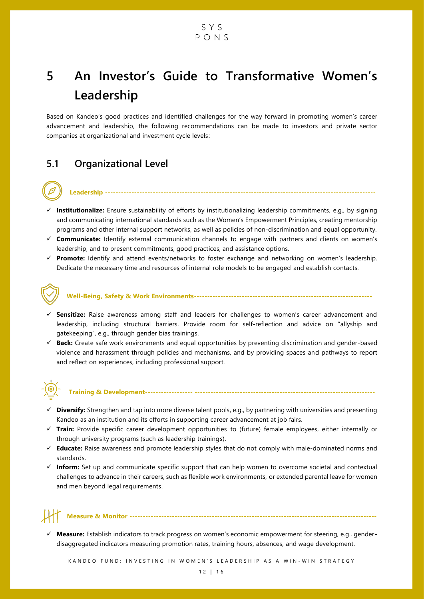# <span id="page-12-0"></span>**5 An Investor's Guide to Transformative Women's Leadership**

Based on Kandeo's good practices and identified challenges for the way forward in promoting women's career advancement and leadership, the following recommendations can be made to investors and private sector companies at organizational and investment cycle levels:

# <span id="page-12-1"></span>**5.1 Organizational Level**

 **Institutionalize:** Ensure sustainability of efforts by institutionalizing leadership commitments, e.g., by signing and communicating international standards such as the Women's Empowerment Principles, creating mentorship programs and other internal support networks, as well as policies of non-discrimination and equal opportunity.

**Leadership ------------------------------------------------------------------------------------------------------**

- **Communicate:** Identify external communication channels to engage with partners and clients on women's leadership, and to present commitments, good practices, and assistance options.
- **Promote:** Identify and attend events/networks to foster exchange and networking on women's leadership. Dedicate the necessary time and resources of internal role models to be engaged and establish contacts.



### **Well-Being, Safety & Work Environments-------------------------------------------------------------------**

- **Sensitize:** Raise awareness among staff and leaders for challenges to women's career advancement and leadership, including structural barriers. Provide room for self-reflection and advice on "allyship and gatekeeping", e.g., through gender bias trainings.
- **Back:** Create safe work environments and equal opportunities by preventing discrimination and gender-based violence and harassment through policies and mechanisms, and by providing spaces and pathways to report and reflect on experiences, including professional support.



### **Training & Development------------------ --------------------------------------------------------------------**

- **Diversify:** Strengthen and tap into more diverse talent pools, e.g., by partnering with universities and presenting Kandeo as an institution and its efforts in supporting career advancement at job fairs.
- **Train:** Provide specific career development opportunities to (future) female employees, either internally or through university programs (such as leadership trainings).
- **Educate:** Raise awareness and promote leadership styles that do not comply with male-dominated norms and standards.
- **Inform:** Set up and communicate specific support that can help women to overcome societal and contextual challenges to advance in their careers, such as flexible work environments, or extended parental leave for women and men beyond legal requirements.

## **Measure & Monitor ---------------------------------------------------------------------------------------------**

 **Measure:** Establish indicators to track progress on women's economic empowerment for steering, e.g., genderdisaggregated indicators measuring promotion rates, training hours, absences, and wage development.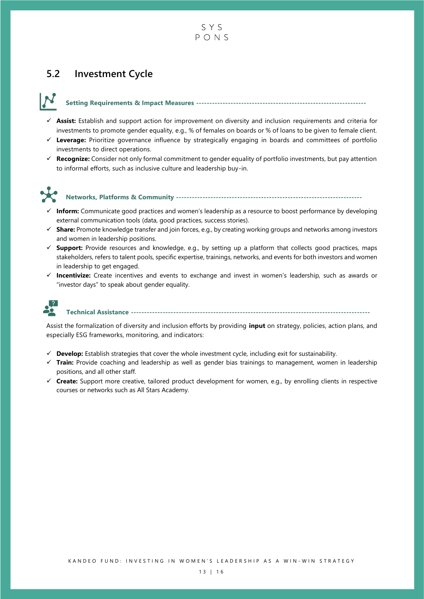

# <span id="page-13-0"></span>**5.2 Investment Cycle**

### **Setting Requirements & Impact Measures ----------------------------------------------------------------**

- **Assist:** Establish and support action for improvement on diversity and inclusion requirements and criteria for investments to promote gender equality, e.g., % of females on boards or % of loans to be given to female client.
- **Leverage:** Prioritize governance influence by strategically engaging in boards and committees of portfolio investments to direct operations.
- **Recognize:** Consider not only formal commitment to gender equality of portfolio investments, but pay attention to informal efforts, such as inclusive culture and leadership buy-in.



#### **Networks, Platforms & Community ----------------------------------------------------------------------**

- **Inform:** Communicate good practices and women's leadership as a resource to boost performance by developing external communication tools (data, good practices, success stories).
- **Share:** Promote knowledge transfer and join forces, e.g., by creating working groups and networks among investors and women in leadership positions.
- **Support:** Provide resources and knowledge, e.g., by setting up a platform that collects good practices, maps stakeholders, refers to talent pools, specific expertise, trainings, networks, and events for both investors and women in leadership to get engaged.
- **Incentivize:** Create incentives and events to exchange and invest in women's leadership, such as awards or "investor days" to speak about gender equality.



**Technical Assistance ------------------------------------------------------------------------------------------**

Assist the formalization of diversity and inclusion efforts by providing **input** on strategy, policies, action plans, and especially ESG frameworks, monitoring, and indicators:

- $\checkmark$  **Develop:** Establish strategies that cover the whole investment cycle, including exit for sustainability.
- **Train:** Provide coaching and leadership as well as gender bias trainings to management, women in leadership positions, and all other staff.
- **Create:** Support more creative, tailored product development for women, e.g., by enrolling clients in respective courses or networks such as All Stars Academy.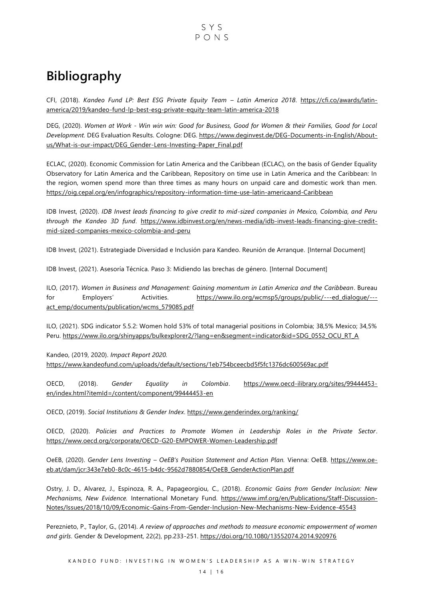# <span id="page-14-0"></span>**Bibliography**

CFI, (2018). *Kandeo Fund LP: Best ESG Private Equity Team – Latin America 2018*. [https://cfi.co/awards/latin](https://cfi.co/awards/latin-america/2019/kandeo-fund-lp-best-esg-private-equity-team-latin-america-2018)[america/2019/kandeo-fund-lp-best-esg-private-equity-team-latin-america-2018](https://cfi.co/awards/latin-america/2019/kandeo-fund-lp-best-esg-private-equity-team-latin-america-2018)

DEG, (2020). *Women at Work - Win win win: Good for Business, Good for Women & their Families, Good for Local Development.* DEG Evaluation Results. Cologne: DEG[. https://www.deginvest.de/DEG-Documents-in-English/About](https://www.deginvest.de/DEG-Documents-in-English/About-us/What-is-our-impact/DEG_Gender-Lens-Investing-Paper_Final.pdf)[us/What-is-our-impact/DEG\\_Gender-Lens-Investing-Paper\\_Final.pdf](https://www.deginvest.de/DEG-Documents-in-English/About-us/What-is-our-impact/DEG_Gender-Lens-Investing-Paper_Final.pdf)

ECLAC, (2020). Economic Commission for Latin America and the Caribbean (ECLAC), on the basis of Gender Equality Observatory for Latin America and the Caribbean, Repository on time use in Latin America and the Caribbean: In the region, women spend more than three times as many hours on unpaid care and domestic work than men. <https://oig.cepal.org/en/infographics/repository-information-time-use-latin-americaand-Caribbean>

IDB Invest, (2020). *IDB Invest leads financing to give credit to mid-sized companies in Mexico, Colombia, and Peru through the Kandeo 3D fund*. [https://www.idbinvest.org/en/news-media/idb-invest-leads-financing-give-credit](https://www.idbinvest.org/en/news-media/idb-invest-leads-financing-give-credit-mid-sized-companies-mexico-colombia-and-peru)[mid-sized-companies-mexico-colombia-and-peru](https://www.idbinvest.org/en/news-media/idb-invest-leads-financing-give-credit-mid-sized-companies-mexico-colombia-and-peru)

IDB Invest, (2021). Estrategiade Diversidad e Inclusión para Kandeo. Reunión de Arranque. [Internal Document]

IDB Invest, (2021). Asesoría Técníca. Paso 3: Midiendo las brechas de género. [Internal Document]

ILO, (2017). *Women in Business and Management: Gaining momentum in Latin America and the Caribbean*. Bureau for Employers' Activities. [https://www.ilo.org/wcmsp5/groups/public/---ed\\_dialogue/--](https://www.ilo.org/wcmsp5/groups/public/---ed_dialogue/---act_emp/documents/publication/wcms_579085.pdf) act\_emp/documents/publication/wcms\_579085.pdf

ILO, (2021). SDG indicator 5.5.2: Women hold 53% of total managerial positions in Colombia; 38,5% Mexico; 34,5% Peru. [https://www.ilo.org/shinyapps/bulkexplorer2/?lang=en&segment=indicator&id=SDG\\_0552\\_OCU\\_RT\\_A](https://www.ilo.org/shinyapps/bulkexplorer2/?lang=en&segment=indicator&id=SDG_0552_OCU_RT_A)

Kandeo, (2019, 2020). *Impact Report 2020.*  <https://www.kandeofund.com/uploads/default/sections/1eb754bceecbd5f5fc1376dc600569ac.pdf>

OECD, (2018). *Gender Equality in Colombia*. [https://www.oecd-ilibrary.org/sites/99444453](https://www.oecd-ilibrary.org/sites/99444453-en/index.html?itemId=/content/component/99444453-en) [en/index.html?itemId=/content/component/99444453-en](https://www.oecd-ilibrary.org/sites/99444453-en/index.html?itemId=/content/component/99444453-en)

OECD, (2019). *Social Institutions & Gender Index*.<https://www.genderindex.org/ranking/>

OECD, (2020). *Policies and Practices to Promote Women in Leadership Roles in the Private Sector*. <https://www.oecd.org/corporate/OECD-G20-EMPOWER-Women-Leadership.pdf>

OeEB, (2020). *Gender Lens Investing – OeEB's Position Statement and Action Plan.* Vienna: OeEB. https://www.oeeb.at/dam/jcr:343e7eb0-8c0c-4615-b4dc-9562d7880854/OeEB\_GenderActionPlan.pdf

Ostry, J. D., Alvarez, J., Espinoza, R. A., Papageorgiou, C., (2018). *Economic Gains from Gender Inclusion: New Mechanisms, New Evidence.* International Monetary Fund. [https://www.imf.org/en/Publications/Staff-Discussion-](https://www.imf.org/en/Publications/Staff-Discussion-Notes/‌Issues/2018/10/09/Economic-Gains-From-Gender-Inclusion-New-Mechanisms-New-Evidence-45543)[Notes/Issues/2018/10/09/Economic-Gains-From-Gender-Inclusion-New-Mechanisms-New-Evidence-45543](https://www.imf.org/en/Publications/Staff-Discussion-Notes/‌Issues/2018/10/09/Economic-Gains-From-Gender-Inclusion-New-Mechanisms-New-Evidence-45543) 

Pereznieto, P., Taylor, G., (2014). *A review of approaches and methods to measure economic empowerment of women and girls*. Gender & Development, 22(2), pp.233-251.<https://doi.org/10.1080/13552074.2014.920976>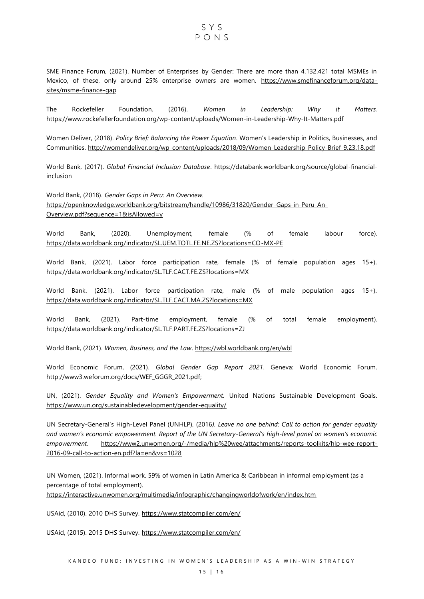## $SYS$  $P_{O}$ NS

SME Finance Forum, (2021). Number of Enterprises by Gender: There are more than 4.132.421 total MSMEs in Mexico, of these, only around 25% enterprise owners are women. [https://www.smefinanceforum.org/data](https://www.smefinanceforum.org/data-sites/msme-finance-gap)[sites/msme-finance-gap](https://www.smefinanceforum.org/data-sites/msme-finance-gap)

The Rockefeller Foundation. (2016). *Women in Leadership: Why it Matters*. <https://www.rockefellerfoundation.org/wp-content/uploads/Women-in-Leadership-Why-It-Matters.pdf>

Women Deliver, (2018). *Policy Brief: Balancing the Power Equation*. Women's Leadership in Politics, Businesses, and Communities.<http://womendeliver.org/wp-content/uploads/2018/09/Women-Leadership-Policy-Brief-9.23.18.pdf>

World Bank, (2017). *Global Financial Inclusion Database*. [https://databank.worldbank.org/source/global-financial](https://databank.worldbank.org/source/global-financial-inclusion)[inclusion](https://databank.worldbank.org/source/global-financial-inclusion)

World Bank, (2018). *Gender Gaps in Peru: An Overview.*  [https://openknowledge.worldbank.org/bitstream/handle/10986/31820/Gender-Gaps-in-Peru-An-](https://openknowledge.worldbank.org/bitstream/handle/10986/31820/Gender-Gaps-in-Peru-An-Overview.pdf?sequence=1&isAllowed=y)[Overview.pdf?sequence=1&isAllowed=y](https://openknowledge.worldbank.org/bitstream/handle/10986/31820/Gender-Gaps-in-Peru-An-Overview.pdf?sequence=1&isAllowed=y)

World Bank, (2020). Unemployment, female (% of female labour force). <https://data.worldbank.org/indicator/SL.UEM.TOTL.FE.NE.ZS?locations=CO-MX-PE>

World Bank, (2021). Labor force participation rate, female (% of female population ages 15+). <https://data.worldbank.org/indicator/SL.TLF.CACT.FE.ZS?locations=MX>

World Bank. (2021). Labor force participation rate, male (% of male population ages 15+). <https://data.worldbank.org/indicator/SL.TLF.CACT.MA.ZS?locations=MX>

World Bank, (2021). Part-time employment, female (% of total female employment). <https://data.worldbank.org/indicator/SL.TLF.PART.FE.ZS?locations=ZJ>

World Bank, (2021). *Women, Business, and the Law*.<https://wbl.worldbank.org/en/wbl>

World Economic Forum, (2021). *Global Gender Gap Report 2021*. Geneva: World Economic Forum. [http://www3.weforum.org/docs/WEF\\_GGGR\\_2021.pdf;](http://www3.weforum.org/docs/WEF_GGGR_2021.pdf) 

UN, (2021). *Gender Equality and Women's Empowerment.* United Nations Sustainable Development Goals. <https://www.un.org/sustainabledevelopment/gender-equality/>

UN Secretary-General's High-Level Panel (UNHLP), (2016*). Leave no one behind: Call to action for gender equality and women's economic empowerment. Report of the UN Secretary-General's high-level panel on women's economic empowerment*. [https://www2.unwomen.org/-/media/hlp%20wee/attachments/reports-toolkits/hlp-wee-report-](https://www2.unwomen.org/-/media/hlp%20wee/attachments/reports-toolkits/hlp-wee-report-2016-09-call-to-action-en.pdf?la=en&vs=1028)[2016-09-call-to-action-en.pdf?la=en&vs=1028](https://www2.unwomen.org/-/media/hlp%20wee/attachments/reports-toolkits/hlp-wee-report-2016-09-call-to-action-en.pdf?la=en&vs=1028)

UN Women, (2021). Informal work. 59% of women in Latin America & Caribbean in informal employment (as a percentage of total employment). <https://interactive.unwomen.org/multimedia/infographic/changingworldofwork/en/index.htm>

USAid, (2010). 2010 DHS Survey.<https://www.statcompiler.com/en/>

USAid, (2015). 2015 DHS Survey. <https://www.statcompiler.com/en/>